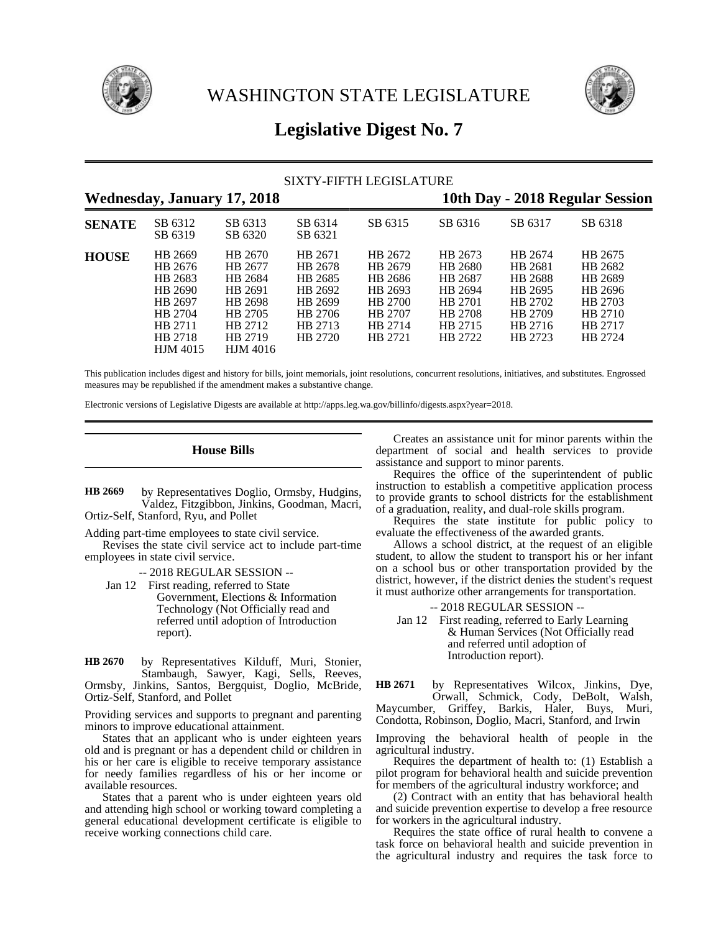



# **Legislative Digest No. 7**

|               |                                                                                                         |                                                                                                         |                                                                                      | SIXTY-FIFTH LEGISLATURE                                                              |                                                                                      |                                                                                      |                                                                                      |  |
|---------------|---------------------------------------------------------------------------------------------------------|---------------------------------------------------------------------------------------------------------|--------------------------------------------------------------------------------------|--------------------------------------------------------------------------------------|--------------------------------------------------------------------------------------|--------------------------------------------------------------------------------------|--------------------------------------------------------------------------------------|--|
|               |                                                                                                         | <b>Wednesday, January 17, 2018</b>                                                                      |                                                                                      |                                                                                      |                                                                                      |                                                                                      | 10th Day - 2018 Regular Session                                                      |  |
| <b>SENATE</b> | SB 6312<br>SB 6319                                                                                      | SB 6313<br>SB 6320                                                                                      | SB 6314<br>SB 6321                                                                   | SB 6315                                                                              | SB 6316                                                                              | SB 6317                                                                              | SB 6318                                                                              |  |
| <b>HOUSE</b>  | HB 2669<br>HB 2676<br>HB 2683<br>HB 2690<br>HB 2697<br>HB 2704<br>HB 2711<br>HB 2718<br><b>HJM</b> 4015 | HB 2670<br>HB 2677<br>HB 2684<br>HB 2691<br>HB 2698<br>HB 2705<br>HB 2712<br>HB 2719<br><b>HJM</b> 4016 | HB 2671<br>HB 2678<br>HB 2685<br>HB 2692<br>HB 2699<br>HB 2706<br>HB 2713<br>HB 2720 | HB 2672<br>HB 2679<br>HB 2686<br>HB 2693<br>HB 2700<br>HB 2707<br>HB 2714<br>HB 2721 | HB 2673<br>HB 2680<br>HB 2687<br>HB 2694<br>HB 2701<br>HB 2708<br>HB 2715<br>HB 2722 | HB 2674<br>HB 2681<br>HB 2688<br>HB 2695<br>HB 2702<br>HB 2709<br>HB 2716<br>HB 2723 | HB 2675<br>HB 2682<br>HB 2689<br>HB 2696<br>HB 2703<br>HB 2710<br>HB 2717<br>HB 2724 |  |

This publication includes digest and history for bills, joint memorials, joint resolutions, concurrent resolutions, initiatives, and substitutes. Engrossed measures may be republished if the amendment makes a substantive change.

Electronic versions of Legislative Digests are available at http://apps.leg.wa.gov/billinfo/digests.aspx?year=2018.

# **House Bills**

by Representatives Doglio, Ormsby, Hudgins, Valdez, Fitzgibbon, Jinkins, Goodman, Macri, Ortiz-Self, Stanford, Ryu, and Pollet **HB 2669**

Adding part-time employees to state civil service.

Revises the state civil service act to include part-time employees in state civil service.

-- 2018 REGULAR SESSION --

Jan 12 First reading, referred to State Government, Elections & Information Technology (Not Officially read and referred until adoption of Introduction report).

by Representatives Kilduff, Muri, Stonier, Stambaugh, Sawyer, Kagi, Sells, Reeves, Ormsby, Jinkins, Santos, Bergquist, Doglio, McBride, Ortiz-Self, Stanford, and Pollet **HB 2670**

Providing services and supports to pregnant and parenting minors to improve educational attainment.

States that an applicant who is under eighteen years old and is pregnant or has a dependent child or children in his or her care is eligible to receive temporary assistance for needy families regardless of his or her income or available resources.

States that a parent who is under eighteen years old and attending high school or working toward completing a general educational development certificate is eligible to receive working connections child care.

Creates an assistance unit for minor parents within the department of social and health services to provide assistance and support to minor parents.

Requires the office of the superintendent of public instruction to establish a competitive application process to provide grants to school districts for the establishment of a graduation, reality, and dual-role skills program.

Requires the state institute for public policy to evaluate the effectiveness of the awarded grants.

Allows a school district, at the request of an eligible student, to allow the student to transport his or her infant on a school bus or other transportation provided by the district, however, if the district denies the student's request it must authorize other arrangements for transportation.

-- 2018 REGULAR SESSION --

Jan 12 First reading, referred to Early Learning & Human Services (Not Officially read and referred until adoption of Introduction report).

by Representatives Wilcox, Jinkins, Dye, Orwall, Schmick, Cody, DeBolt, Walsh, Maycumber, Griffey, Barkis, Haler, Buys, Muri, Condotta, Robinson, Doglio, Macri, Stanford, and Irwin **HB 2671**

Improving the behavioral health of people in the agricultural industry.

Requires the department of health to: (1) Establish a pilot program for behavioral health and suicide prevention for members of the agricultural industry workforce; and

(2) Contract with an entity that has behavioral health and suicide prevention expertise to develop a free resource for workers in the agricultural industry.

Requires the state office of rural health to convene a task force on behavioral health and suicide prevention in the agricultural industry and requires the task force to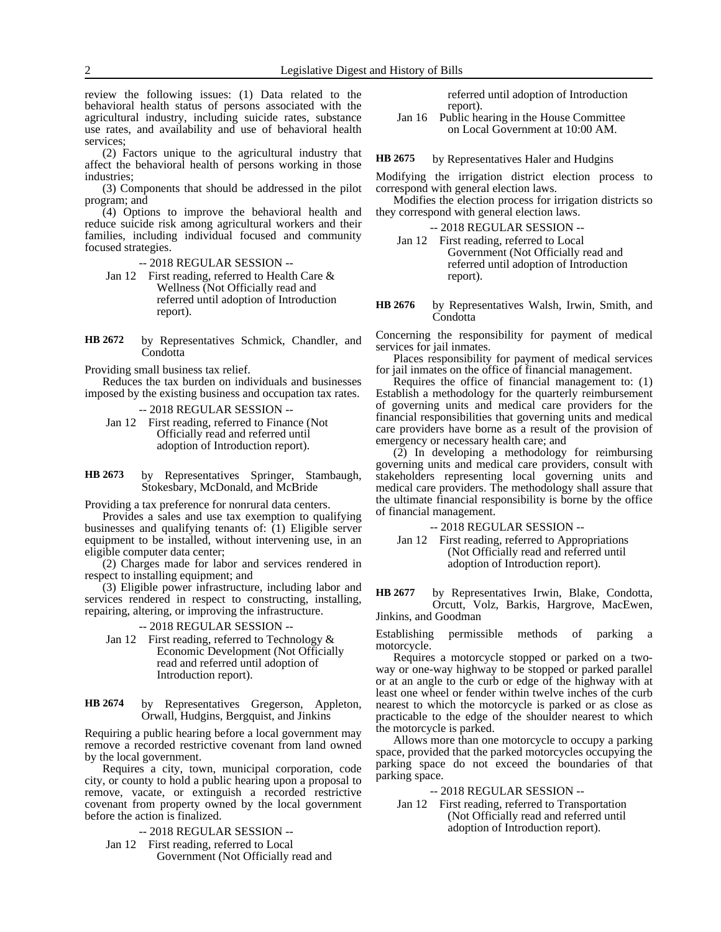review the following issues: (1) Data related to the behavioral health status of persons associated with the agricultural industry, including suicide rates, substance use rates, and availability and use of behavioral health services;

(2) Factors unique to the agricultural industry that affect the behavioral health of persons working in those industries;

(3) Components that should be addressed in the pilot program; and

(4) Options to improve the behavioral health and reduce suicide risk among agricultural workers and their families, including individual focused and community focused strategies.

- -- 2018 REGULAR SESSION --
- Jan 12 First reading, referred to Health Care & Wellness (Not Officially read and referred until adoption of Introduction report).
- by Representatives Schmick, Chandler, and Condotta **HB 2672**

Providing small business tax relief.

Reduces the tax burden on individuals and businesses imposed by the existing business and occupation tax rates.

-- 2018 REGULAR SESSION --

Jan 12 First reading, referred to Finance (Not Officially read and referred until adoption of Introduction report).

by Representatives Springer, Stambaugh, Stokesbary, McDonald, and McBride **HB 2673**

Providing a tax preference for nonrural data centers.

Provides a sales and use tax exemption to qualifying businesses and qualifying tenants of: (1) Eligible server equipment to be installed, without intervening use, in an eligible computer data center;

(2) Charges made for labor and services rendered in respect to installing equipment; and

(3) Eligible power infrastructure, including labor and services rendered in respect to constructing, installing, repairing, altering, or improving the infrastructure.

-- 2018 REGULAR SESSION --

- Jan 12 First reading, referred to Technology & Economic Development (Not Officially read and referred until adoption of Introduction report).
- by Representatives Gregerson, Appleton, Orwall, Hudgins, Bergquist, and Jinkins **HB 2674**

Requiring a public hearing before a local government may remove a recorded restrictive covenant from land owned by the local government.

Requires a city, town, municipal corporation, code city, or county to hold a public hearing upon a proposal to remove, vacate, or extinguish a recorded restrictive covenant from property owned by the local government before the action is finalized.

- -- 2018 REGULAR SESSION --
- Jan 12 First reading, referred to Local Government (Not Officially read and

referred until adoption of Introduction report).

Jan 16 Public hearing in the House Committee on Local Government at 10:00 AM.

by Representatives Haler and Hudgins **HB 2675**

Modifying the irrigation district election process to correspond with general election laws.

Modifies the election process for irrigation districts so they correspond with general election laws.

-- 2018 REGULAR SESSION --

- Jan 12 First reading, referred to Local Government (Not Officially read and referred until adoption of Introduction report).
- by Representatives Walsh, Irwin, Smith, and **Condotta HB 2676**

Concerning the responsibility for payment of medical services for jail inmates.

Places responsibility for payment of medical services for jail inmates on the office of financial management.

Requires the office of financial management to: (1) Establish a methodology for the quarterly reimbursement of governing units and medical care providers for the financial responsibilities that governing units and medical care providers have borne as a result of the provision of emergency or necessary health care; and

(2) In developing a methodology for reimbursing governing units and medical care providers, consult with stakeholders representing local governing units and medical care providers. The methodology shall assure that the ultimate financial responsibility is borne by the office of financial management.

-- 2018 REGULAR SESSION --

Jan 12 First reading, referred to Appropriations (Not Officially read and referred until adoption of Introduction report).

by Representatives Irwin, Blake, Condotta, Orcutt, Volz, Barkis, Hargrove, MacEwen, Jinkins, and Goodman **HB 2677**

Establishing permissible methods of parking a motorcycle.

Requires a motorcycle stopped or parked on a twoway or one-way highway to be stopped or parked parallel or at an angle to the curb or edge of the highway with at least one wheel or fender within twelve inches of the curb nearest to which the motorcycle is parked or as close as practicable to the edge of the shoulder nearest to which the motorcycle is parked.

Allows more than one motorcycle to occupy a parking space, provided that the parked motorcycles occupying the parking space do not exceed the boundaries of that parking space.

-- 2018 REGULAR SESSION --

Jan 12 First reading, referred to Transportation (Not Officially read and referred until adoption of Introduction report).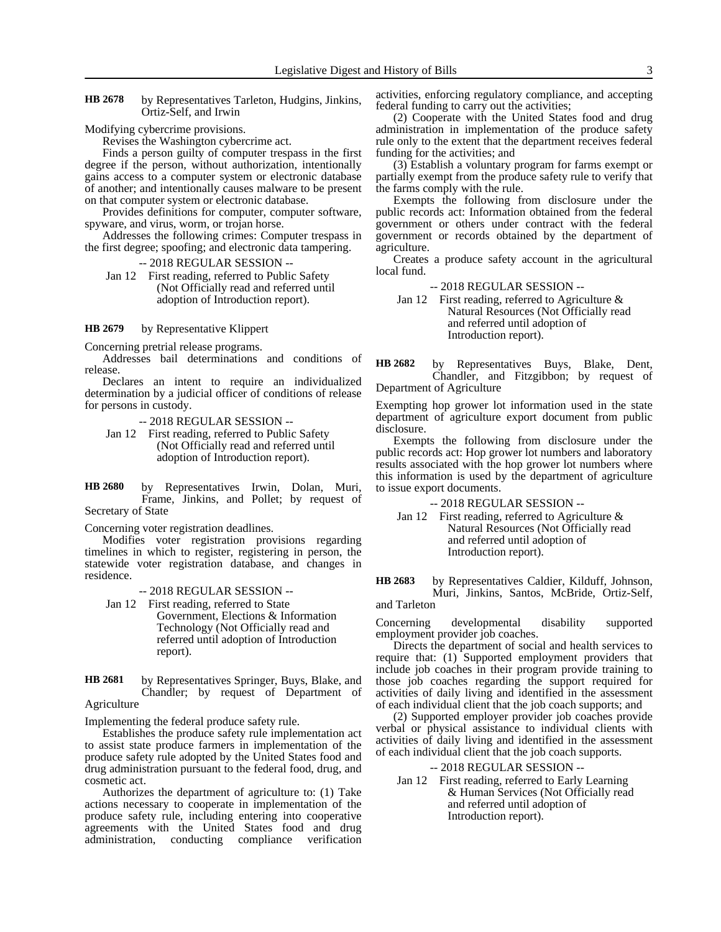by Representatives Tarleton, Hudgins, Jinkins, Ortiz-Self, and Irwin **HB 2678**

Modifying cybercrime provisions.

Revises the Washington cybercrime act.

Finds a person guilty of computer trespass in the first degree if the person, without authorization, intentionally gains access to a computer system or electronic database of another; and intentionally causes malware to be present on that computer system or electronic database.

Provides definitions for computer, computer software, spyware, and virus, worm, or trojan horse.

Addresses the following crimes: Computer trespass in the first degree; spoofing; and electronic data tampering.

-- 2018 REGULAR SESSION --

Jan 12 First reading, referred to Public Safety (Not Officially read and referred until adoption of Introduction report).

by Representative Klippert **HB 2679**

Concerning pretrial release programs.

Addresses bail determinations and conditions of release.

Declares an intent to require an individualized determination by a judicial officer of conditions of release for persons in custody.

-- 2018 REGULAR SESSION --

Jan 12 First reading, referred to Public Safety (Not Officially read and referred until adoption of Introduction report).

by Representatives Irwin, Dolan, Muri, Frame, Jinkins, and Pollet; by request of Secretary of State **HB 2680**

Concerning voter registration deadlines.

Modifies voter registration provisions regarding timelines in which to register, registering in person, the statewide voter registration database, and changes in residence.

-- 2018 REGULAR SESSION --

Jan 12 First reading, referred to State Government, Elections & Information Technology (Not Officially read and referred until adoption of Introduction report).

by Representatives Springer, Buys, Blake, and Chandler; by request of Department of Agriculture **HB 2681**

Implementing the federal produce safety rule.

Establishes the produce safety rule implementation act to assist state produce farmers in implementation of the produce safety rule adopted by the United States food and drug administration pursuant to the federal food, drug, and cosmetic act.

Authorizes the department of agriculture to: (1) Take actions necessary to cooperate in implementation of the produce safety rule, including entering into cooperative agreements with the United States food and drug administration, conducting compliance verification

activities, enforcing regulatory compliance, and accepting federal funding to carry out the activities;

(2) Cooperate with the United States food and drug administration in implementation of the produce safety rule only to the extent that the department receives federal funding for the activities; and

(3) Establish a voluntary program for farms exempt or partially exempt from the produce safety rule to verify that the farms comply with the rule.

Exempts the following from disclosure under the public records act: Information obtained from the federal government or others under contract with the federal government or records obtained by the department of agriculture.

Creates a produce safety account in the agricultural local fund.

-- 2018 REGULAR SESSION --

Jan 12 First reading, referred to Agriculture & Natural Resources (Not Officially read and referred until adoption of Introduction report).

by Representatives Buys, Blake, Dent, Chandler, and Fitzgibbon; by request of Department of Agriculture **HB 2682**

Exempting hop grower lot information used in the state department of agriculture export document from public disclosure.

Exempts the following from disclosure under the public records act: Hop grower lot numbers and laboratory results associated with the hop grower lot numbers where this information is used by the department of agriculture to issue export documents.

-- 2018 REGULAR SESSION --

Jan 12 First reading, referred to Agriculture & Natural Resources (Not Officially read and referred until adoption of Introduction report).

by Representatives Caldier, Kilduff, Johnson, Muri, Jinkins, Santos, McBride, Ortiz-Self, **HB 2683**

and Tarleton

Concerning developmental disability supported employment provider job coaches.

Directs the department of social and health services to require that: (1) Supported employment providers that include job coaches in their program provide training to those job coaches regarding the support required for activities of daily living and identified in the assessment of each individual client that the job coach supports; and

(2) Supported employer provider job coaches provide verbal or physical assistance to individual clients with activities of daily living and identified in the assessment of each individual client that the job coach supports.

-- 2018 REGULAR SESSION --

Jan 12 First reading, referred to Early Learning & Human Services (Not Officially read and referred until adoption of Introduction report).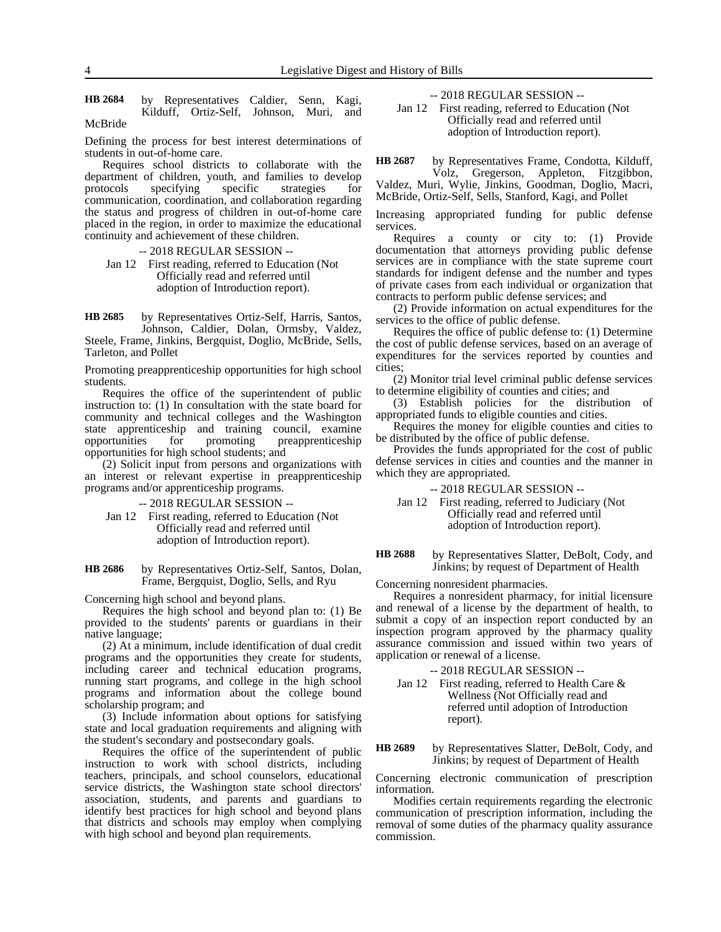by Representatives Caldier, Senn, Kagi, Kilduff, Ortiz-Self, Johnson, Muri, and McBride **HB 2684**

Defining the process for best interest determinations of students in out-of-home care.

Requires school districts to collaborate with the department of children, youth, and families to develop<br>protocols specifying specific strategies for specifying specific strategies for communication, coordination, and collaboration regarding the status and progress of children in out-of-home care placed in the region, in order to maximize the educational continuity and achievement of these children.

-- 2018 REGULAR SESSION --

Jan 12 First reading, referred to Education (Not Officially read and referred until adoption of Introduction report).

by Representatives Ortiz-Self, Harris, Santos, Johnson, Caldier, Dolan, Ormsby, Valdez, Steele, Frame, Jinkins, Bergquist, Doglio, McBride, Sells, Tarleton, and Pollet **HB 2685**

Promoting preapprenticeship opportunities for high school students.

Requires the office of the superintendent of public instruction to: (1) In consultation with the state board for community and technical colleges and the Washington state apprenticeship and training council, examine opportunities for promoting preapprenticeship opportunities for high school students; and

(2) Solicit input from persons and organizations with an interest or relevant expertise in preapprenticeship programs and/or apprenticeship programs.

-- 2018 REGULAR SESSION --

Jan 12 First reading, referred to Education (Not Officially read and referred until adoption of Introduction report).

by Representatives Ortiz-Self, Santos, Dolan, Frame, Bergquist, Doglio, Sells, and Ryu **HB 2686**

Concerning high school and beyond plans.

Requires the high school and beyond plan to: (1) Be provided to the students' parents or guardians in their native language;

(2) At a minimum, include identification of dual credit programs and the opportunities they create for students, including career and technical education programs, running start programs, and college in the high school programs and information about the college bound scholarship program; and

(3) Include information about options for satisfying state and local graduation requirements and aligning with the student's secondary and postsecondary goals.

Requires the office of the superintendent of public instruction to work with school districts, including teachers, principals, and school counselors, educational service districts, the Washington state school directors' association, students, and parents and guardians to identify best practices for high school and beyond plans that districts and schools may employ when complying with high school and beyond plan requirements.

-- 2018 REGULAR SESSION --

Jan 12 First reading, referred to Education (Not Officially read and referred until adoption of Introduction report).

by Representatives Frame, Condotta, Kilduff, Volz, Gregerson, Appleton, Fitzgibbon, Valdez, Muri, Wylie, Jinkins, Goodman, Doglio, Macri, **HB 2687**

McBride, Ortiz-Self, Sells, Stanford, Kagi, and Pollet

Increasing appropriated funding for public defense services.

Requires a county or city to: (1) Provide documentation that attorneys providing public defense services are in compliance with the state supreme court standards for indigent defense and the number and types of private cases from each individual or organization that contracts to perform public defense services; and

(2) Provide information on actual expenditures for the services to the office of public defense.

Requires the office of public defense to: (1) Determine the cost of public defense services, based on an average of expenditures for the services reported by counties and cities;

(2) Monitor trial level criminal public defense services to determine eligibility of counties and cities; and

(3) Establish policies for the distribution of appropriated funds to eligible counties and cities.

Requires the money for eligible counties and cities to be distributed by the office of public defense.

Provides the funds appropriated for the cost of public defense services in cities and counties and the manner in which they are appropriated.

-- 2018 REGULAR SESSION --

Jan 12 First reading, referred to Judiciary (Not Officially read and referred until adoption of Introduction report).

by Representatives Slatter, DeBolt, Cody, and Jinkins; by request of Department of Health **HB 2688**

Concerning nonresident pharmacies.

Requires a nonresident pharmacy, for initial licensure and renewal of a license by the department of health, to submit a copy of an inspection report conducted by an inspection program approved by the pharmacy quality assurance commission and issued within two years of application or renewal of a license.

-- 2018 REGULAR SESSION --

Jan 12 First reading, referred to Health Care & Wellness (Not Officially read and referred until adoption of Introduction report).

by Representatives Slatter, DeBolt, Cody, and Jinkins; by request of Department of Health **HB 2689**

Concerning electronic communication of prescription information.

Modifies certain requirements regarding the electronic communication of prescription information, including the removal of some duties of the pharmacy quality assurance commission.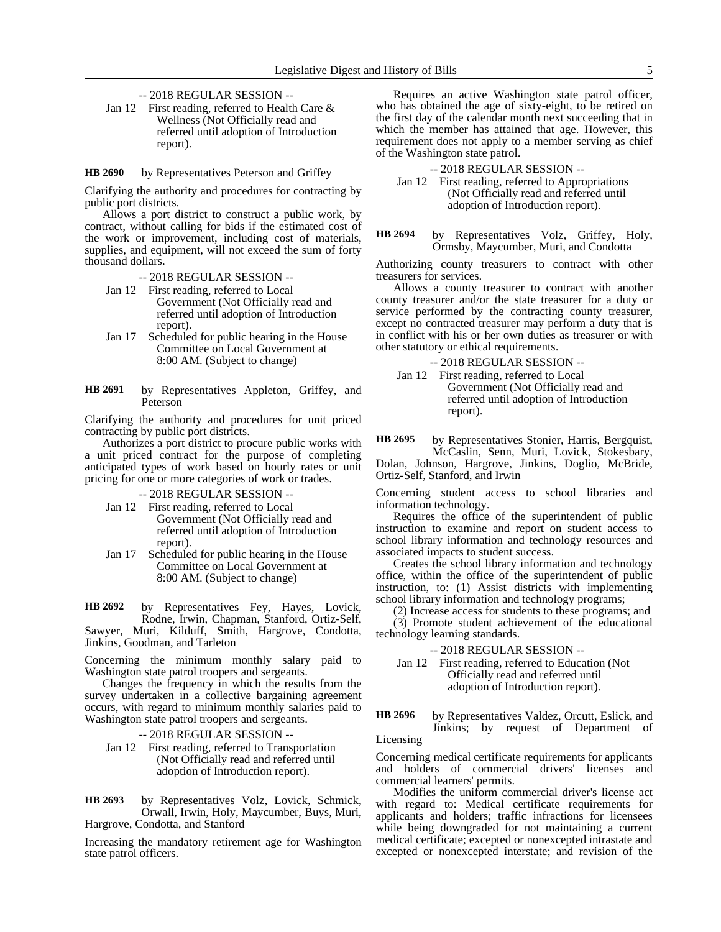- -- 2018 REGULAR SESSION --
- Jan 12 First reading, referred to Health Care & Wellness (Not Officially read and referred until adoption of Introduction report).

by Representatives Peterson and Griffey **HB 2690**

Clarifying the authority and procedures for contracting by public port districts.

Allows a port district to construct a public work, by contract, without calling for bids if the estimated cost of the work or improvement, including cost of materials, supplies, and equipment, will not exceed the sum of forty thousand dollars.

-- 2018 REGULAR SESSION --

- Jan 12 First reading, referred to Local Government (Not Officially read and referred until adoption of Introduction report).
- Jan 17 Scheduled for public hearing in the House Committee on Local Government at 8:00 AM. (Subject to change)
- by Representatives Appleton, Griffey, and Peterson **HB 2691**

Clarifying the authority and procedures for unit priced contracting by public port districts.

Authorizes a port district to procure public works with a unit priced contract for the purpose of completing anticipated types of work based on hourly rates or unit pricing for one or more categories of work or trades.

-- 2018 REGULAR SESSION --

- Jan 12 First reading, referred to Local Government (Not Officially read and referred until adoption of Introduction report).
- Jan 17 Scheduled for public hearing in the House Committee on Local Government at 8:00 AM. (Subject to change)

by Representatives Fey, Hayes, Lovick, Rodne, Irwin, Chapman, Stanford, Ortiz-Self, Sawyer, Muri, Kilduff, Smith, Hargrove, Condotta, Jinkins, Goodman, and Tarleton **HB 2692**

Concerning the minimum monthly salary paid to Washington state patrol troopers and sergeants.

Changes the frequency in which the results from the survey undertaken in a collective bargaining agreement occurs, with regard to minimum monthly salaries paid to Washington state patrol troopers and sergeants.

- -- 2018 REGULAR SESSION --
- Jan 12 First reading, referred to Transportation (Not Officially read and referred until adoption of Introduction report).

by Representatives Volz, Lovick, Schmick, Orwall, Irwin, Holy, Maycumber, Buys, Muri, Hargrove, Condotta, and Stanford **HB 2693**

Increasing the mandatory retirement age for Washington state patrol officers.

Requires an active Washington state patrol officer, who has obtained the age of sixty-eight, to be retired on the first day of the calendar month next succeeding that in which the member has attained that age. However, this requirement does not apply to a member serving as chief of the Washington state patrol.

-- 2018 REGULAR SESSION --

- Jan 12 First reading, referred to Appropriations (Not Officially read and referred until adoption of Introduction report).
- by Representatives Volz, Griffey, Holy, Ormsby, Maycumber, Muri, and Condotta **HB 2694**

Authorizing county treasurers to contract with other treasurers for services.

Allows a county treasurer to contract with another county treasurer and/or the state treasurer for a duty or service performed by the contracting county treasurer, except no contracted treasurer may perform a duty that is in conflict with his or her own duties as treasurer or with other statutory or ethical requirements.

- -- 2018 REGULAR SESSION --
- Jan 12 First reading, referred to Local Government (Not Officially read and referred until adoption of Introduction report).

by Representatives Stonier, Harris, Bergquist, **HB 2695**

McCaslin, Senn, Muri, Lovick, Stokesbary, Dolan, Johnson, Hargrove, Jinkins, Doglio, McBride, Ortiz-Self, Stanford, and Irwin

Concerning student access to school libraries and information technology.

Requires the office of the superintendent of public instruction to examine and report on student access to school library information and technology resources and associated impacts to student success.

Creates the school library information and technology office, within the office of the superintendent of public instruction, to: (1) Assist districts with implementing school library information and technology programs;

(2) Increase access for students to these programs; and (3) Promote student achievement of the educational technology learning standards.

### -- 2018 REGULAR SESSION --

Jan 12 First reading, referred to Education (Not Officially read and referred until adoption of Introduction report).

by Representatives Valdez, Orcutt, Eslick, and Jinkins; by request of Department of Licensing **HB 2696**

Concerning medical certificate requirements for applicants and holders of commercial drivers' licenses and commercial learners' permits.

Modifies the uniform commercial driver's license act with regard to: Medical certificate requirements for applicants and holders; traffic infractions for licensees while being downgraded for not maintaining a current medical certificate; excepted or nonexcepted intrastate and excepted or nonexcepted interstate; and revision of the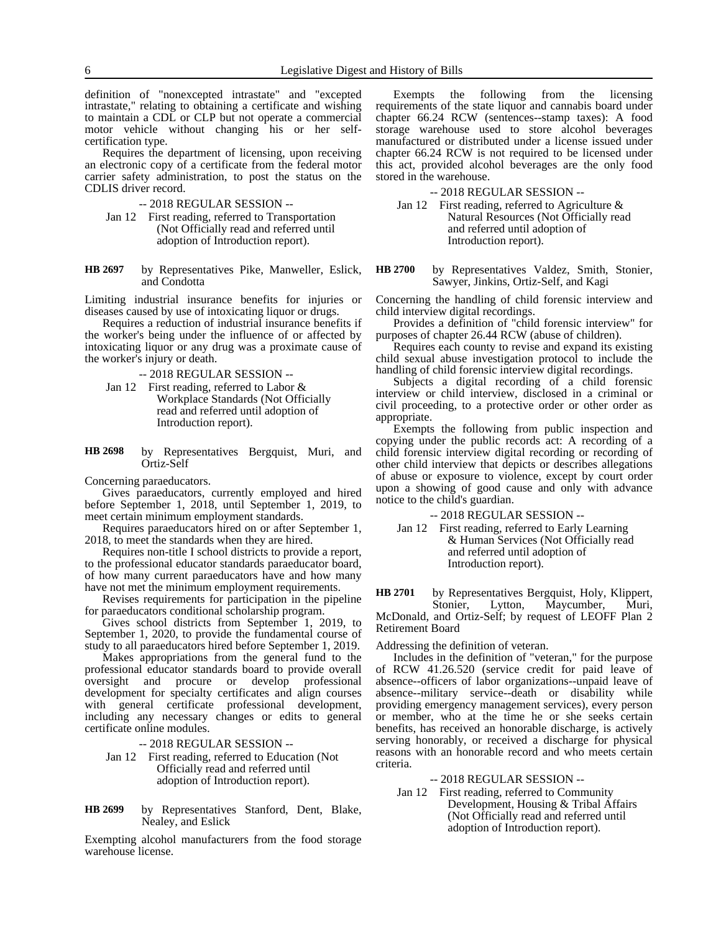definition of "nonexcepted intrastate" and "excepted intrastate," relating to obtaining a certificate and wishing to maintain a CDL or CLP but not operate a commercial motor vehicle without changing his or her selfcertification type.

Requires the department of licensing, upon receiving an electronic copy of a certificate from the federal motor carrier safety administration, to post the status on the CDLIS driver record.

- -- 2018 REGULAR SESSION --
- Jan 12 First reading, referred to Transportation (Not Officially read and referred until adoption of Introduction report).

by Representatives Pike, Manweller, Eslick, and Condotta **HB 2697**

Limiting industrial insurance benefits for injuries or diseases caused by use of intoxicating liquor or drugs.

Requires a reduction of industrial insurance benefits if the worker's being under the influence of or affected by intoxicating liquor or any drug was a proximate cause of the worker's injury or death.

-- 2018 REGULAR SESSION --

- Jan 12 First reading, referred to Labor & Workplace Standards (Not Officially read and referred until adoption of Introduction report).
- by Representatives Bergquist, Muri, and Ortiz-Self **HB 2698**

Concerning paraeducators.

Gives paraeducators, currently employed and hired before September 1, 2018, until September 1, 2019, to meet certain minimum employment standards.

Requires paraeducators hired on or after September 1, 2018, to meet the standards when they are hired.

Requires non-title I school districts to provide a report, to the professional educator standards paraeducator board, of how many current paraeducators have and how many have not met the minimum employment requirements.

Revises requirements for participation in the pipeline for paraeducators conditional scholarship program.

Gives school districts from September 1, 2019, to September 1, 2020, to provide the fundamental course of study to all paraeducators hired before September 1, 2019.

Makes appropriations from the general fund to the professional educator standards board to provide overall oversight and procure or develop professional development for specialty certificates and align courses with general certificate professional development, including any necessary changes or edits to general certificate online modules.

-- 2018 REGULAR SESSION --

Jan 12 First reading, referred to Education (Not Officially read and referred until adoption of Introduction report).

by Representatives Stanford, Dent, Blake, Nealey, and Eslick **HB 2699**

Exempting alcohol manufacturers from the food storage warehouse license.

Exempts the following from the licensing requirements of the state liquor and cannabis board under chapter 66.24 RCW (sentences--stamp taxes): A food storage warehouse used to store alcohol beverages manufactured or distributed under a license issued under chapter 66.24 RCW is not required to be licensed under this act, provided alcohol beverages are the only food stored in the warehouse.

-- 2018 REGULAR SESSION --

Jan 12 First reading, referred to Agriculture & Natural Resources (Not Officially read and referred until adoption of Introduction report).

by Representatives Valdez, Smith, Stonier, Sawyer, Jinkins, Ortiz-Self, and Kagi **HB 2700**

Concerning the handling of child forensic interview and child interview digital recordings.

Provides a definition of "child forensic interview" for purposes of chapter 26.44 RCW (abuse of children).

Requires each county to revise and expand its existing child sexual abuse investigation protocol to include the handling of child forensic interview digital recordings.

Subjects a digital recording of a child forensic interview or child interview, disclosed in a criminal or civil proceeding, to a protective order or other order as appropriate.

Exempts the following from public inspection and copying under the public records act: A recording of a child forensic interview digital recording or recording of other child interview that depicts or describes allegations of abuse or exposure to violence, except by court order upon a showing of good cause and only with advance notice to the child's guardian.

-- 2018 REGULAR SESSION --

Jan 12 First reading, referred to Early Learning & Human Services (Not Officially read and referred until adoption of Introduction report).

by Representatives Bergquist, Holy, Klippert, Stonier, Lytton, Maycumber, Muri, McDonald, and Ortiz-Self; by request of LEOFF Plan 2 Retirement Board **HB 2701**

Addressing the definition of veteran.

Includes in the definition of "veteran," for the purpose of RCW 41.26.520 (service credit for paid leave of absence--officers of labor organizations--unpaid leave of absence--military service--death or disability while providing emergency management services), every person or member, who at the time he or she seeks certain benefits, has received an honorable discharge, is actively serving honorably, or received a discharge for physical reasons with an honorable record and who meets certain criteria.

-- 2018 REGULAR SESSION --

Jan 12 First reading, referred to Community Development, Housing & Tribal Affairs (Not Officially read and referred until adoption of Introduction report).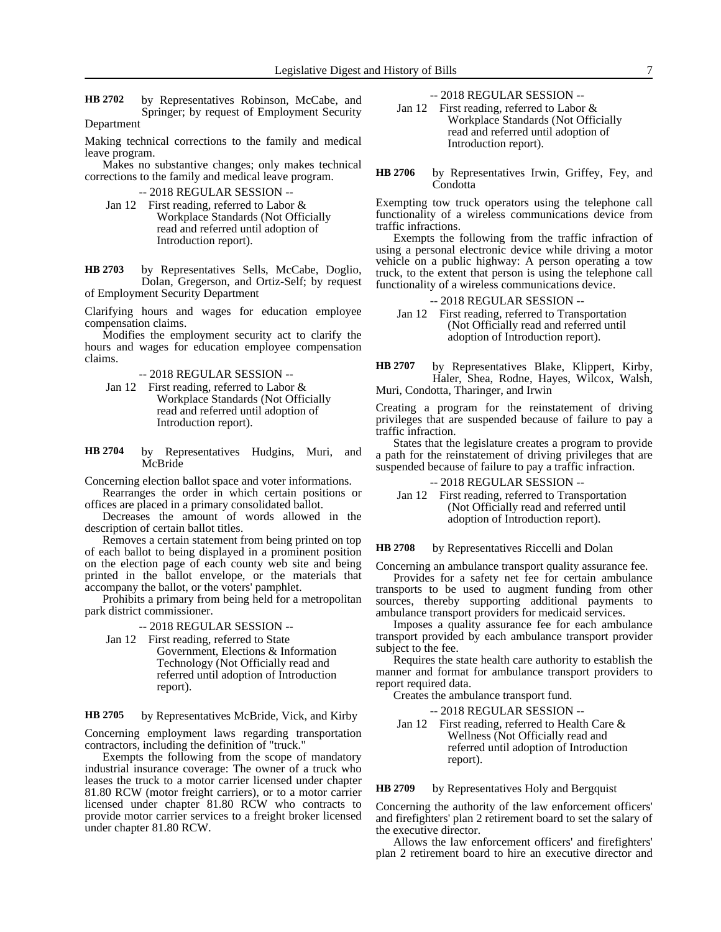by Representatives Robinson, McCabe, and Springer; by request of Employment Security **HB 2702**

Department

Making technical corrections to the family and medical leave program.

Makes no substantive changes; only makes technical corrections to the family and medical leave program.

-- 2018 REGULAR SESSION --

Jan 12 First reading, referred to Labor & Workplace Standards (Not Officially read and referred until adoption of Introduction report).

by Representatives Sells, McCabe, Doglio, Dolan, Gregerson, and Ortiz-Self; by request of Employment Security Department **HB 2703**

Clarifying hours and wages for education employee compensation claims.

Modifies the employment security act to clarify the hours and wages for education employee compensation claims.

-- 2018 REGULAR SESSION --

- Jan 12 First reading, referred to Labor & Workplace Standards (Not Officially read and referred until adoption of Introduction report).
- by Representatives Hudgins, Muri, and **McBride HB 2704**

Concerning election ballot space and voter informations.

Rearranges the order in which certain positions or offices are placed in a primary consolidated ballot.

Decreases the amount of words allowed in the description of certain ballot titles.

Removes a certain statement from being printed on top of each ballot to being displayed in a prominent position on the election page of each county web site and being printed in the ballot envelope, or the materials that accompany the ballot, or the voters' pamphlet.

Prohibits a primary from being held for a metropolitan park district commissioner.

-- 2018 REGULAR SESSION --

Jan 12 First reading, referred to State Government, Elections & Information Technology (Not Officially read and

referred until adoption of Introduction report).

by Representatives McBride, Vick, and Kirby **HB 2705**

Concerning employment laws regarding transportation contractors, including the definition of "truck."

Exempts the following from the scope of mandatory industrial insurance coverage: The owner of a truck who leases the truck to a motor carrier licensed under chapter 81.80 RCW (motor freight carriers), or to a motor carrier licensed under chapter 81.80 RCW who contracts to provide motor carrier services to a freight broker licensed under chapter 81.80 RCW.

-- 2018 REGULAR SESSION --

Jan 12 First reading, referred to Labor & Workplace Standards (Not Officially read and referred until adoption of Introduction report).

by Representatives Irwin, Griffey, Fey, and Condotta **HB 2706**

Exempting tow truck operators using the telephone call functionality of a wireless communications device from traffic infractions.

Exempts the following from the traffic infraction of using a personal electronic device while driving a motor vehicle on a public highway: A person operating a tow truck, to the extent that person is using the telephone call functionality of a wireless communications device.

# -- 2018 REGULAR SESSION --

Jan 12 First reading, referred to Transportation (Not Officially read and referred until adoption of Introduction report).

by Representatives Blake, Klippert, Kirby, Haler, Shea, Rodne, Hayes, Wilcox, Walsh, Muri, Condotta, Tharinger, and Irwin **HB 2707**

Creating a program for the reinstatement of driving privileges that are suspended because of failure to pay a traffic infraction.

States that the legislature creates a program to provide a path for the reinstatement of driving privileges that are suspended because of failure to pay a traffic infraction.

-- 2018 REGULAR SESSION --

Jan 12 First reading, referred to Transportation (Not Officially read and referred until adoption of Introduction report).

by Representatives Riccelli and Dolan **HB 2708**

Concerning an ambulance transport quality assurance fee.

Provides for a safety net fee for certain ambulance transports to be used to augment funding from other sources, thereby supporting additional payments to ambulance transport providers for medicaid services.

Imposes a quality assurance fee for each ambulance transport provided by each ambulance transport provider subject to the fee.

Requires the state health care authority to establish the manner and format for ambulance transport providers to report required data.

Creates the ambulance transport fund.

-- 2018 REGULAR SESSION --

Jan 12 First reading, referred to Health Care & Wellness (Not Officially read and referred until adoption of Introduction report).

by Representatives Holy and Bergquist **HB 2709**

Concerning the authority of the law enforcement officers' and firefighters' plan 2 retirement board to set the salary of the executive director.

Allows the law enforcement officers' and firefighters' plan 2 retirement board to hire an executive director and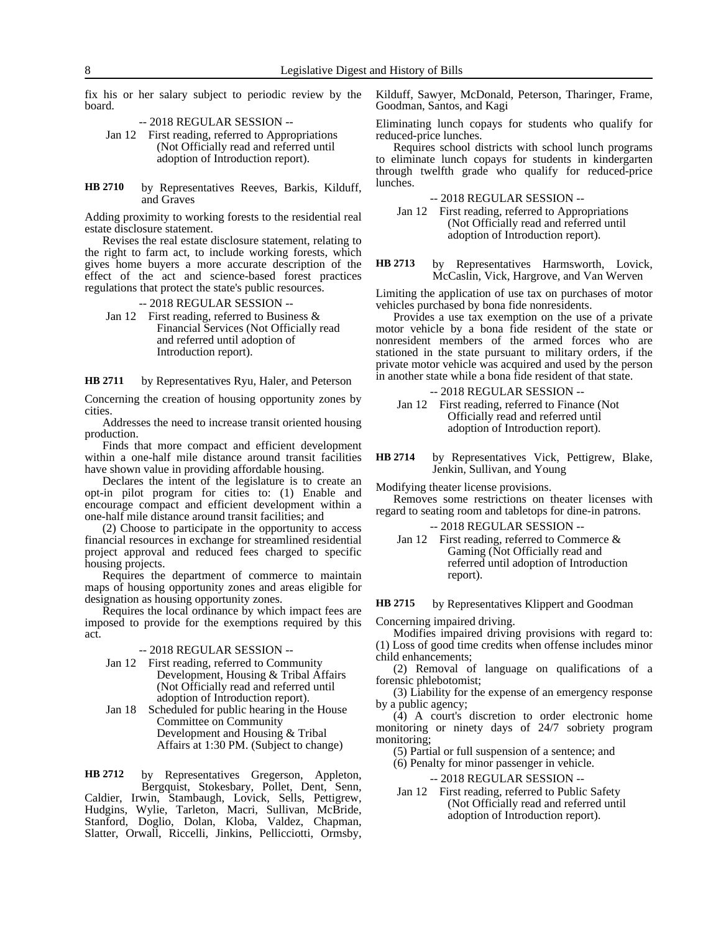fix his or her salary subject to periodic review by the board.

-- 2018 REGULAR SESSION --

- Jan 12 First reading, referred to Appropriations (Not Officially read and referred until adoption of Introduction report).
- by Representatives Reeves, Barkis, Kilduff, and Graves **HB 2710**

Adding proximity to working forests to the residential real estate disclosure statement.

Revises the real estate disclosure statement, relating to the right to farm act, to include working forests, which gives home buyers a more accurate description of the effect of the act and science-based forest practices regulations that protect the state's public resources.

- -- 2018 REGULAR SESSION --
- Jan 12 First reading, referred to Business  $\&$ Financial Services (Not Officially read and referred until adoption of Introduction report).

by Representatives Ryu, Haler, and Peterson **HB 2711**

Concerning the creation of housing opportunity zones by cities.

Addresses the need to increase transit oriented housing production.

Finds that more compact and efficient development within a one-half mile distance around transit facilities have shown value in providing affordable housing.

Declares the intent of the legislature is to create an opt-in pilot program for cities to: (1) Enable and encourage compact and efficient development within a one-half mile distance around transit facilities; and

(2) Choose to participate in the opportunity to access financial resources in exchange for streamlined residential project approval and reduced fees charged to specific housing projects.

Requires the department of commerce to maintain maps of housing opportunity zones and areas eligible for designation as housing opportunity zones.

Requires the local ordinance by which impact fees are imposed to provide for the exemptions required by this act.

### -- 2018 REGULAR SESSION --

- Jan 12 First reading, referred to Community Development, Housing & Tribal Affairs (Not Officially read and referred until adoption of Introduction report).
- Jan 18 Scheduled for public hearing in the House Committee on Community Development and Housing & Tribal Affairs at 1:30 PM. (Subject to change)

by Representatives Gregerson, Appleton, Bergquist, Stokesbary, Pollet, Dent, Senn, Caldier, Irwin, Stambaugh, Lovick, Sells, Pettigrew, Hudgins, Wylie, Tarleton, Macri, Sullivan, McBride, Stanford, Doglio, Dolan, Kloba, Valdez, Chapman, Slatter, Orwall, Riccelli, Jinkins, Pellicciotti, Ormsby, **HB 2712**

Kilduff, Sawyer, McDonald, Peterson, Tharinger, Frame, Goodman, Santos, and Kagi

Eliminating lunch copays for students who qualify for reduced-price lunches.

Requires school districts with school lunch programs to eliminate lunch copays for students in kindergarten through twelfth grade who qualify for reduced-price lunches.

-- 2018 REGULAR SESSION --

Jan 12 First reading, referred to Appropriations (Not Officially read and referred until adoption of Introduction report).

by Representatives Harmsworth, Lovick, McCaslin, Vick, Hargrove, and Van Werven **HB 2713**

Limiting the application of use tax on purchases of motor vehicles purchased by bona fide nonresidents.

Provides a use tax exemption on the use of a private motor vehicle by a bona fide resident of the state or nonresident members of the armed forces who are stationed in the state pursuant to military orders, if the private motor vehicle was acquired and used by the person in another state while a bona fide resident of that state.

```
-- 2018 REGULAR SESSION --
```
Jan 12 First reading, referred to Finance (Not Officially read and referred until adoption of Introduction report).

by Representatives Vick, Pettigrew, Blake, Jenkin, Sullivan, and Young **HB 2714**

Modifying theater license provisions.

Removes some restrictions on theater licenses with regard to seating room and tabletops for dine-in patrons.

-- 2018 REGULAR SESSION --

Jan 12 First reading, referred to Commerce & Gaming (Not Officially read and referred until adoption of Introduction report).

by Representatives Klippert and Goodman **HB 2715**

Concerning impaired driving.

Modifies impaired driving provisions with regard to: (1) Loss of good time credits when offense includes minor child enhancements;

(2) Removal of language on qualifications of a forensic phlebotomist;

(3) Liability for the expense of an emergency response by a public agency;

(4) A court's discretion to order electronic home monitoring or ninety days of 24/7 sobriety program monitoring;

(5) Partial or full suspension of a sentence; and

(6) Penalty for minor passenger in vehicle.

-- 2018 REGULAR SESSION --

Jan 12 First reading, referred to Public Safety (Not Officially read and referred until adoption of Introduction report).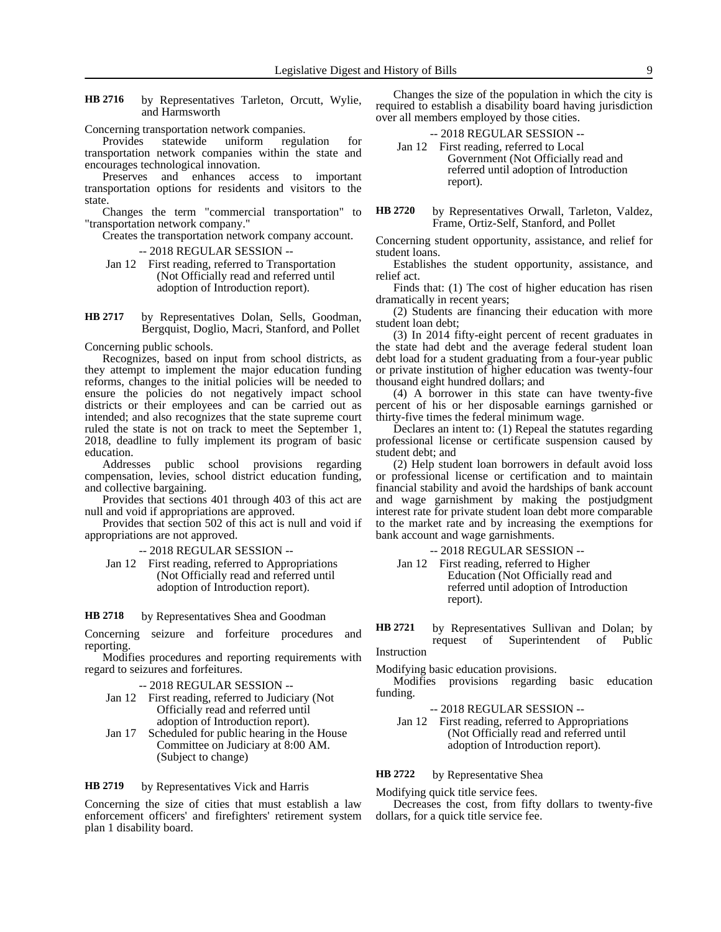by Representatives Tarleton, Orcutt, Wylie, and Harmsworth **HB 2716**

Concerning transportation network companies.

Provides statewide uniform regulation for transportation network companies within the state and encourages technological innovation.

Preserves and enhances access to important transportation options for residents and visitors to the state.

Changes the term "commercial transportation" to "transportation network company."

Creates the transportation network company account.

-- 2018 REGULAR SESSION --

Jan 12 First reading, referred to Transportation (Not Officially read and referred until adoption of Introduction report).

by Representatives Dolan, Sells, Goodman, Bergquist, Doglio, Macri, Stanford, and Pollet **HB 2717**

Concerning public schools.

Recognizes, based on input from school districts, as they attempt to implement the major education funding reforms, changes to the initial policies will be needed to ensure the policies do not negatively impact school districts or their employees and can be carried out as intended; and also recognizes that the state supreme court ruled the state is not on track to meet the September 1, 2018, deadline to fully implement its program of basic education.

Addresses public school provisions regarding compensation, levies, school district education funding, and collective bargaining.

Provides that sections 401 through 403 of this act are null and void if appropriations are approved.

Provides that section 502 of this act is null and void if appropriations are not approved.

- -- 2018 REGULAR SESSION --
- Jan 12 First reading, referred to Appropriations (Not Officially read and referred until adoption of Introduction report).

by Representatives Shea and Goodman **HB 2718**

Concerning seizure and forfeiture procedures and reporting.

Modifies procedures and reporting requirements with regard to seizures and forfeitures.

## -- 2018 REGULAR SESSION --

- Jan 12 First reading, referred to Judiciary (Not Officially read and referred until adoption of Introduction report).
- Jan 17 Scheduled for public hearing in the House Committee on Judiciary at 8:00 AM. (Subject to change)

by Representatives Vick and Harris **HB 2719**

Concerning the size of cities that must establish a law enforcement officers' and firefighters' retirement system plan 1 disability board.

Changes the size of the population in which the city is required to establish a disability board having jurisdiction over all members employed by those cities.

|  | --2018 REGULAR SESSION -- |
|--|---------------------------|
|--|---------------------------|

Jan 12 First reading, referred to Local Government (Not Officially read and referred until adoption of Introduction report).

by Representatives Orwall, Tarleton, Valdez, Frame, Ortiz-Self, Stanford, and Pollet **HB 2720**

Concerning student opportunity, assistance, and relief for student loans.

Establishes the student opportunity, assistance, and relief act.

Finds that: (1) The cost of higher education has risen dramatically in recent years;

(2) Students are financing their education with more student loan debt;

(3) In 2014 fifty-eight percent of recent graduates in the state had debt and the average federal student loan debt load for a student graduating from a four-year public or private institution of higher education was twenty-four thousand eight hundred dollars; and

(4) A borrower in this state can have twenty-five percent of his or her disposable earnings garnished or thirty-five times the federal minimum wage.

Declares an intent to: (1) Repeal the statutes regarding professional license or certificate suspension caused by student debt; and

(2) Help student loan borrowers in default avoid loss or professional license or certification and to maintain financial stability and avoid the hardships of bank account and wage garnishment by making the postjudgment interest rate for private student loan debt more comparable to the market rate and by increasing the exemptions for bank account and wage garnishments.

-- 2018 REGULAR SESSION --

Jan 12 First reading, referred to Higher Education (Not Officially read and referred until adoption of Introduction report).

by Representatives Sullivan and Dolan; by request of Superintendent of Public Instruction **HB 2721**

Modifying basic education provisions.

Modifies provisions regarding basic education funding.

- -- 2018 REGULAR SESSION --
- Jan 12 First reading, referred to Appropriations (Not Officially read and referred until adoption of Introduction report).

by Representative Shea **HB 2722**

Modifying quick title service fees.

Decreases the cost, from fifty dollars to twenty-five dollars, for a quick title service fee.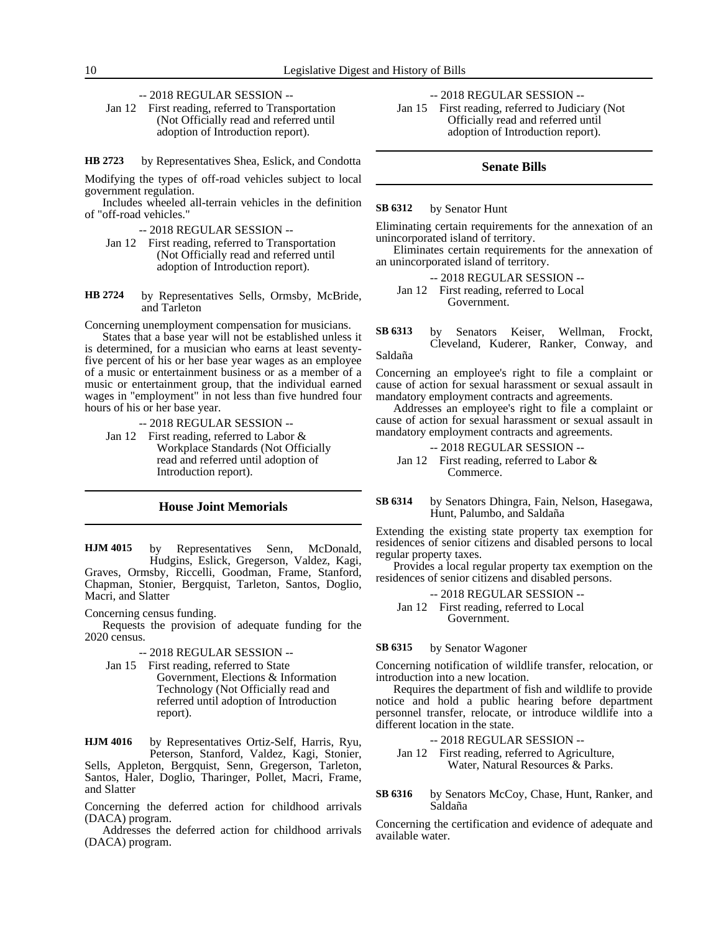-- 2018 REGULAR SESSION --

Jan 12 First reading, referred to Transportation (Not Officially read and referred until adoption of Introduction report).

by Representatives Shea, Eslick, and Condotta **HB 2723**

Modifying the types of off-road vehicles subject to local government regulation.

Includes wheeled all-terrain vehicles in the definition of "off-road vehicles."

-- 2018 REGULAR SESSION --

- Jan 12 First reading, referred to Transportation (Not Officially read and referred until adoption of Introduction report).
- by Representatives Sells, Ormsby, McBride, and Tarleton **HB 2724**

Concerning unemployment compensation for musicians.

States that a base year will not be established unless it is determined, for a musician who earns at least seventyfive percent of his or her base year wages as an employee of a music or entertainment business or as a member of a music or entertainment group, that the individual earned wages in "employment" in not less than five hundred four hours of his or her base year.

-- 2018 REGULAR SESSION --

Jan 12 First reading, referred to Labor & Workplace Standards (Not Officially read and referred until adoption of Introduction report).

# **House Joint Memorials**

by Representatives Senn, McDonald, Hudgins, Eslick, Gregerson, Valdez, Kagi, Graves, Ormsby, Riccelli, Goodman, Frame, Stanford, Chapman, Stonier, Bergquist, Tarleton, Santos, Doglio, Macri, and Slatter **HJM 4015**

Concerning census funding.

Requests the provision of adequate funding for the 2020 census.

-- 2018 REGULAR SESSION --

Jan 15 First reading, referred to State Government, Elections & Information Technology (Not Officially read and referred until adoption of Introduction report).

by Representatives Ortiz-Self, Harris, Ryu, Peterson, Stanford, Valdez, Kagi, Stonier, Sells, Appleton, Bergquist, Senn, Gregerson, Tarleton, Santos, Haler, Doglio, Tharinger, Pollet, Macri, Frame, and Slatter **HJM 4016**

Concerning the deferred action for childhood arrivals (DACA) program.

Addresses the deferred action for childhood arrivals (DACA) program.

-- 2018 REGULAR SESSION --

Jan 15 First reading, referred to Judiciary (Not Officially read and referred until adoption of Introduction report).

# **Senate Bills**

#### by Senator Hunt **SB 6312**

Eliminating certain requirements for the annexation of an unincorporated island of territory.

Eliminates certain requirements for the annexation of an unincorporated island of territory.

-- 2018 REGULAR SESSION --

Jan 12 First reading, referred to Local Government.

by Senators Keiser, Wellman, Frockt, Cleveland, Kuderer, Ranker, Conway, and **SB 6313**

Saldaña

Concerning an employee's right to file a complaint or cause of action for sexual harassment or sexual assault in mandatory employment contracts and agreements.

Addresses an employee's right to file a complaint or cause of action for sexual harassment or sexual assault in mandatory employment contracts and agreements.

-- 2018 REGULAR SESSION -- Jan 12 First reading, referred to Labor & Commerce.

by Senators Dhingra, Fain, Nelson, Hasegawa, Hunt, Palumbo, and Saldaña **SB 6314**

Extending the existing state property tax exemption for residences of senior citizens and disabled persons to local regular property taxes.

Provides a local regular property tax exemption on the residences of senior citizens and disabled persons.

-- 2018 REGULAR SESSION --

Jan 12 First reading, referred to Local Government.

#### by Senator Wagoner **SB 6315**

Concerning notification of wildlife transfer, relocation, or introduction into a new location.

Requires the department of fish and wildlife to provide notice and hold a public hearing before department personnel transfer, relocate, or introduce wildlife into a different location in the state.

-- 2018 REGULAR SESSION --

Jan 12 First reading, referred to Agriculture, Water, Natural Resources & Parks.

by Senators McCoy, Chase, Hunt, Ranker, and Saldaña **SB 6316**

Concerning the certification and evidence of adequate and available water.